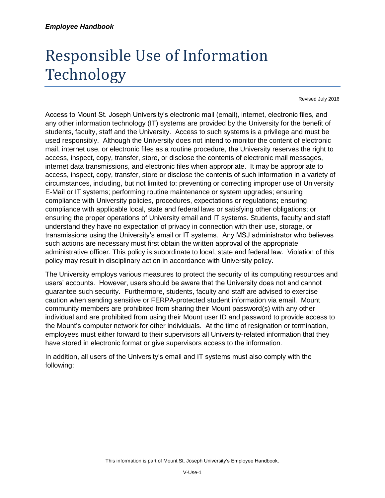## Responsible Use of Information Technology

Revised July 2016

Access to Mount St. Joseph University's electronic mail (email), internet, electronic files, and any other information technology (IT) systems are provided by the University for the benefit of students, faculty, staff and the University. Access to such systems is a privilege and must be used responsibly. Although the University does not intend to monitor the content of electronic mail, internet use, or electronic files as a routine procedure, the University reserves the right to access, inspect, copy, transfer, store, or disclose the contents of electronic mail messages, internet data transmissions, and electronic files when appropriate. It may be appropriate to access, inspect, copy, transfer, store or disclose the contents of such information in a variety of circumstances, including, but not limited to: preventing or correcting improper use of University E-Mail or IT systems; performing routine maintenance or system upgrades; ensuring compliance with University policies, procedures, expectations or regulations; ensuring compliance with applicable local, state and federal laws or satisfying other obligations; or ensuring the proper operations of University email and IT systems. Students, faculty and staff understand they have no expectation of privacy in connection with their use, storage, or transmissions using the University's email or IT systems. Any MSJ administrator who believes such actions are necessary must first obtain the written approval of the appropriate administrative officer. This policy is subordinate to local, state and federal law. Violation of this policy may result in disciplinary action in accordance with University policy.

The University employs various measures to protect the security of its computing resources and users' accounts. However, users should be aware that the University does not and cannot guarantee such security. Furthermore, students, faculty and staff are advised to exercise caution when sending sensitive or FERPA-protected student information via email. Mount community members are prohibited from sharing their Mount password(s) with any other individual and are prohibited from using their Mount user ID and password to provide access to the Mount's computer network for other individuals. At the time of resignation or termination, employees must either forward to their supervisors all University-related information that they have stored in electronic format or give supervisors access to the information.

In addition, all users of the University's email and IT systems must also comply with the following: